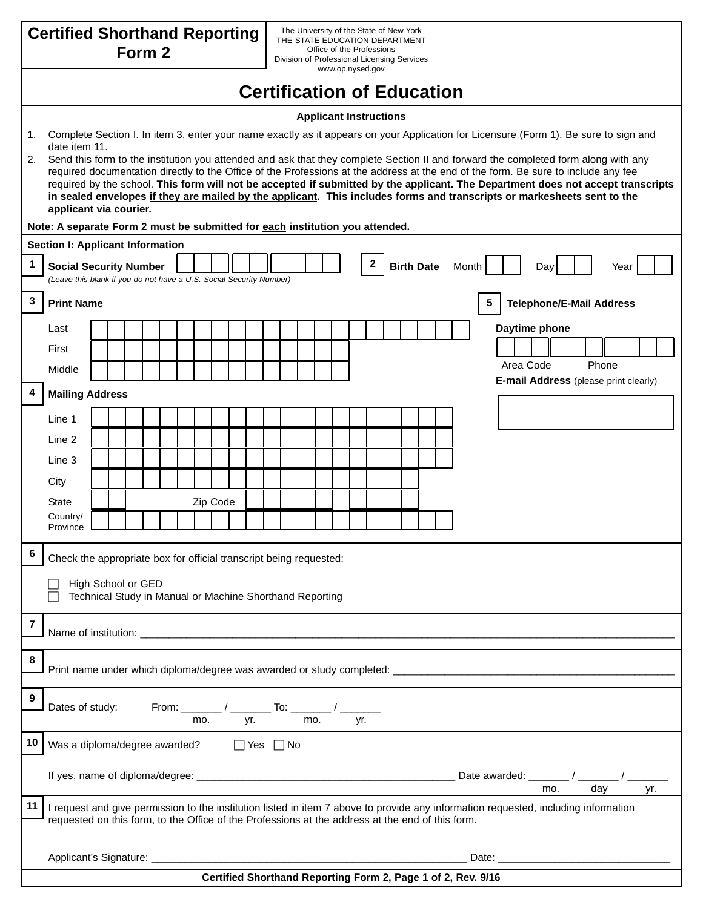| <b>Certified Shorthand Reporting</b><br>Form 2                                                                                                                                                                                                                                                                                                                                                                                                                                                                                                                          | The University of the State of New York<br>THE STATE EDUCATION DEPARTMENT<br>Office of the Professions |  |
|-------------------------------------------------------------------------------------------------------------------------------------------------------------------------------------------------------------------------------------------------------------------------------------------------------------------------------------------------------------------------------------------------------------------------------------------------------------------------------------------------------------------------------------------------------------------------|--------------------------------------------------------------------------------------------------------|--|
| Division of Professional Licensing Services<br>www.op.nysed.gov                                                                                                                                                                                                                                                                                                                                                                                                                                                                                                         |                                                                                                        |  |
| <b>Certification of Education</b>                                                                                                                                                                                                                                                                                                                                                                                                                                                                                                                                       |                                                                                                        |  |
| <b>Applicant Instructions</b>                                                                                                                                                                                                                                                                                                                                                                                                                                                                                                                                           |                                                                                                        |  |
| Complete Section I. In item 3, enter your name exactly as it appears on your Application for Licensure (Form 1). Be sure to sign and<br>1.<br>date item 11.                                                                                                                                                                                                                                                                                                                                                                                                             |                                                                                                        |  |
| 2.<br>Send this form to the institution you attended and ask that they complete Section II and forward the completed form along with any<br>required documentation directly to the Office of the Professions at the address at the end of the form. Be sure to include any fee<br>required by the school. This form will not be accepted if submitted by the applicant. The Department does not accept transcripts<br>in sealed envelopes if they are mailed by the applicant. This includes forms and transcripts or markesheets sent to the<br>applicant via courier. |                                                                                                        |  |
| Note: A separate Form 2 must be submitted for each institution you attended.                                                                                                                                                                                                                                                                                                                                                                                                                                                                                            |                                                                                                        |  |
| Section I: Applicant Information                                                                                                                                                                                                                                                                                                                                                                                                                                                                                                                                        |                                                                                                        |  |
| 1<br><b>Social Security Number</b><br>(Leave this blank if you do not have a U.S. Social Security Number)                                                                                                                                                                                                                                                                                                                                                                                                                                                               | 2<br><b>Birth Date</b><br>Month<br>Day<br>Year                                                         |  |
| 3<br>5<br><b>Telephone/E-Mail Address</b>                                                                                                                                                                                                                                                                                                                                                                                                                                                                                                                               |                                                                                                        |  |
| <b>Print Name</b>                                                                                                                                                                                                                                                                                                                                                                                                                                                                                                                                                       |                                                                                                        |  |
| Last                                                                                                                                                                                                                                                                                                                                                                                                                                                                                                                                                                    | Daytime phone                                                                                          |  |
| First                                                                                                                                                                                                                                                                                                                                                                                                                                                                                                                                                                   | Area Code<br>Phone                                                                                     |  |
| Middle                                                                                                                                                                                                                                                                                                                                                                                                                                                                                                                                                                  | E-mail Address (please print clearly)                                                                  |  |
| 4<br><b>Mailing Address</b>                                                                                                                                                                                                                                                                                                                                                                                                                                                                                                                                             |                                                                                                        |  |
| Line 1                                                                                                                                                                                                                                                                                                                                                                                                                                                                                                                                                                  |                                                                                                        |  |
| Line 2                                                                                                                                                                                                                                                                                                                                                                                                                                                                                                                                                                  |                                                                                                        |  |
| Line 3                                                                                                                                                                                                                                                                                                                                                                                                                                                                                                                                                                  |                                                                                                        |  |
| City                                                                                                                                                                                                                                                                                                                                                                                                                                                                                                                                                                    |                                                                                                        |  |
| Zip Code<br><b>State</b><br>Country/                                                                                                                                                                                                                                                                                                                                                                                                                                                                                                                                    |                                                                                                        |  |
| Province                                                                                                                                                                                                                                                                                                                                                                                                                                                                                                                                                                |                                                                                                        |  |
| 6<br>Check the appropriate box for official transcript being requested:                                                                                                                                                                                                                                                                                                                                                                                                                                                                                                 |                                                                                                        |  |
| High School or GED<br>Technical Study in Manual or Machine Shorthand Reporting                                                                                                                                                                                                                                                                                                                                                                                                                                                                                          |                                                                                                        |  |
| 7                                                                                                                                                                                                                                                                                                                                                                                                                                                                                                                                                                       |                                                                                                        |  |
| 8                                                                                                                                                                                                                                                                                                                                                                                                                                                                                                                                                                       |                                                                                                        |  |
| 9<br>From: _________ / ___________ To: ________ / ________<br>Dates of study:<br>yr. mo.<br>yr.<br>mo.                                                                                                                                                                                                                                                                                                                                                                                                                                                                  |                                                                                                        |  |
| 10<br>Was a diploma/degree awarded? $\Box$ Yes $\Box$ No                                                                                                                                                                                                                                                                                                                                                                                                                                                                                                                |                                                                                                        |  |
| day<br>yr.<br>mo.                                                                                                                                                                                                                                                                                                                                                                                                                                                                                                                                                       |                                                                                                        |  |
| 11<br>I request and give permission to the institution listed in item 7 above to provide any information requested, including information<br>requested on this form, to the Office of the Professions at the address at the end of this form.                                                                                                                                                                                                                                                                                                                           |                                                                                                        |  |
| Date: <u>Date:</u> Partnership and the second service of the service of the series of the series of the series of the series of the series of the series of the series of the series of the series of the series of the series of t                                                                                                                                                                                                                                                                                                                                     |                                                                                                        |  |
| Certified Shorthand Reporting Form 2, Page 1 of 2, Rev. 9/16                                                                                                                                                                                                                                                                                                                                                                                                                                                                                                            |                                                                                                        |  |